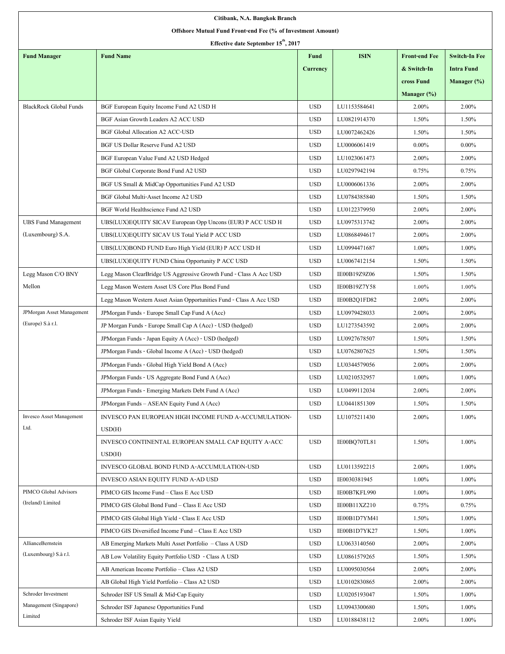| Citibank, N.A. Bangkok Branch                               |                                                                     |                 |              |                      |                      |
|-------------------------------------------------------------|---------------------------------------------------------------------|-----------------|--------------|----------------------|----------------------|
| Offshore Mutual Fund Front-end Fee (% of Investment Amount) |                                                                     |                 |              |                      |                      |
| Effective date September 15 <sup>th</sup> , 2017            |                                                                     |                 |              |                      |                      |
| <b>Fund Manager</b>                                         | <b>Fund Name</b>                                                    | <b>Fund</b>     | <b>ISIN</b>  | <b>Front-end Fee</b> | <b>Switch-In Fee</b> |
|                                                             |                                                                     | <b>Currency</b> |              | & Switch-In          | <b>Intra Fund</b>    |
|                                                             |                                                                     |                 |              | cross Fund           | Manager (%)          |
|                                                             |                                                                     |                 |              | Manager $(\%)$       |                      |
| <b>BlackRock Global Funds</b>                               | BGF European Equity Income Fund A2 USD H                            | <b>USD</b>      | LU1153584641 | 2.00%                | 2.00%                |
|                                                             | BGF Asian Growth Leaders A2 ACC USD                                 | <b>USD</b>      | LU0821914370 | 1.50%                | 1.50%                |
|                                                             | <b>BGF Global Allocation A2 ACC-USD</b>                             | <b>USD</b>      | LU0072462426 | 1.50%                | 1.50%                |
|                                                             | BGF US Dollar Reserve Fund A2 USD                                   | <b>USD</b>      | LU0006061419 | $0.00\%$             | $0.00\%$             |
|                                                             | BGF European Value Fund A2 USD Hedged                               | <b>USD</b>      | LU1023061473 | 2.00%                | 2.00%                |
|                                                             | BGF Global Corporate Bond Fund A2 USD                               | <b>USD</b>      | LU0297942194 | 0.75%                | 0.75%                |
|                                                             | BGF US Small & MidCap Opportunities Fund A2 USD                     | <b>USD</b>      | LU0006061336 | 2.00%                | 2.00%                |
|                                                             | BGF Global Multi-Asset Income A2 USD                                | <b>USD</b>      | LU0784385840 | 1.50%                | 1.50%                |
|                                                             | BGF World Healthscience Fund A2 USD                                 | <b>USD</b>      | LU0122379950 | 2.00%                | 2.00%                |
| <b>UBS Fund Management</b>                                  | UBS(LUX)EQUITY SICAV European Opp Uncons (EUR) P ACC USD H          | <b>USD</b>      | LU0975313742 | 2.00%                | 2.00%                |
| (Luxembourg) S.A.                                           | UBS(LUX)EQUITY SICAV US Total Yield P ACC USD                       | <b>USD</b>      | LU0868494617 | 2.00%                | 2.00%                |
|                                                             | UBS(LUX)BOND FUND Euro High Yield (EUR) P ACC USD H                 | <b>USD</b>      | LU0994471687 | 1.00%                | 1.00%                |
|                                                             | UBS(LUX)EQUITY FUND China Opportunity P ACC USD                     | <b>USD</b>      | LU0067412154 | 1.50%                | 1.50%                |
| Legg Mason C/O BNY                                          | Legg Mason ClearBridge US Aggressive Growth Fund - Class A Acc USD  | <b>USD</b>      | IE00B19Z9Z06 | 1.50%                | 1.50%                |
| Mellon                                                      | Legg Mason Western Asset US Core Plus Bond Fund                     | <b>USD</b>      | IE00B19Z7Y58 | 1.00%                | 1.00%                |
|                                                             | Legg Mason Western Asset Asian Opportunities Fund - Class A Acc USD | <b>USD</b>      | IE00B2Q1FD82 | 2.00%                | 2.00%                |
| JPMorgan Asset Management                                   | JPMorgan Funds - Europe Small Cap Fund A (Acc)                      | <b>USD</b>      | LU0979428033 | 2.00%                | 2.00%                |
| (Europe) S.à r.l.                                           | JP Morgan Funds - Europe Small Cap A (Acc) - USD (hedged)           | <b>USD</b>      | LU1273543592 | 2.00%                | 2.00%                |
|                                                             | JPMorgan Funds - Japan Equity A (Acc) - USD (hedged)                | <b>USD</b>      | LU0927678507 | 1.50%                | 1.50%                |
|                                                             | JPMorgan Funds - Global Income A (Acc) - USD (hedged)               | <b>USD</b>      | LU0762807625 | 1.50%                | 1.50%                |
|                                                             | JPMorgan Funds - Global High Yield Bond A (Acc)                     | <b>USD</b>      | LU0344579056 | 2.00%                | 2.00%                |
|                                                             | JPM organ Funds - US Aggregate Bond Fund A (Acc)                    | <b>USD</b>      | LU0210532957 | 1.00%                | 1.00%                |
|                                                             | JPMorgan Funds - Emerging Markets Debt Fund A (Acc)                 | <b>USD</b>      | LU0499112034 | 2.00%                | 2.00%                |
|                                                             | JPM organ Funds – ASEAN Equity Fund A (Acc)                         | <b>USD</b>      | LU0441851309 | 1.50%                | 1.50%                |
| <b>Invesco Asset Management</b>                             | INVESCO PAN EUROPEAN HIGH INCOME FUND A-ACCUMULATION-               | <b>USD</b>      | LU1075211430 | 2.00%                | 1.00%                |
| Ltd.                                                        | USD(H)                                                              |                 |              |                      |                      |
|                                                             | INVESCO CONTINENTAL EUROPEAN SMALL CAP EQUITY A-ACC                 | <b>USD</b>      | IE00BQ70TL81 | 1.50%                | 1.00%                |
|                                                             | USD(H)                                                              |                 |              |                      |                      |
|                                                             | INVESCO GLOBAL BOND FUND A-ACCUMULATION-USD                         | <b>USD</b>      | LU0113592215 | 2.00%                | 1.00%                |
|                                                             | INVESCO ASIAN EQUITY FUND A-AD USD                                  | <b>USD</b>      | IE0030381945 | 1.00%                | 1.00%                |
| PIMCO Global Advisors                                       | PIMCO GIS Income Fund - Class E Acc USD                             | <b>USD</b>      | IE00B7KFL990 | 1.00%                | 1.00%                |
| (Ireland) Limited                                           | PIMCO GIS Global Bond Fund - Class E Acc USD                        | <b>USD</b>      | IE00B11XZ210 | 0.75%                | 0.75%                |
|                                                             | PIMCO GIS Global High Yield - Class E Acc USD                       | <b>USD</b>      | IE00B1D7YM41 | 1.50%                | 1.00%                |
|                                                             | PIMCO GIS Diversified Income Fund – Class E Acc USD                 | <b>USD</b>      | IE00B1D7YK27 | 1.50%                | 1.00%                |
| AllianceBernstein                                           | AB Emerging Markets Multi Asset Portfolio - Class A USD             | <b>USD</b>      | LU0633140560 | 2.00%                | 2.00%                |
| (Luxembourg) S.à r.l.                                       | AB Low Volatility Equity Portfolio USD - Class A USD                | <b>USD</b>      | LU0861579265 | 1.50%                | 1.50%                |
|                                                             | AB American Income Portfolio - Class A2 USD                         | <b>USD</b>      | LU0095030564 | 2.00%                | 2.00%                |
|                                                             | AB Global High Yield Portfolio - Class A2 USD                       | <b>USD</b>      | LU0102830865 | 2.00%                | 2.00%                |
| Schroder Investment                                         | Schroder ISF US Small & Mid-Cap Equity                              | <b>USD</b>      | LU0205193047 | 1.50%                | 1.00%                |
| Management (Singapore)                                      | Schroder ISF Japanese Opportunities Fund                            | <b>USD</b>      | LU0943300680 | 1.50%                | 1.00%                |
| Limited                                                     | Schroder ISF Asian Equity Yield                                     | <b>USD</b>      | LU0188438112 | 2.00%                | 1.00%                |